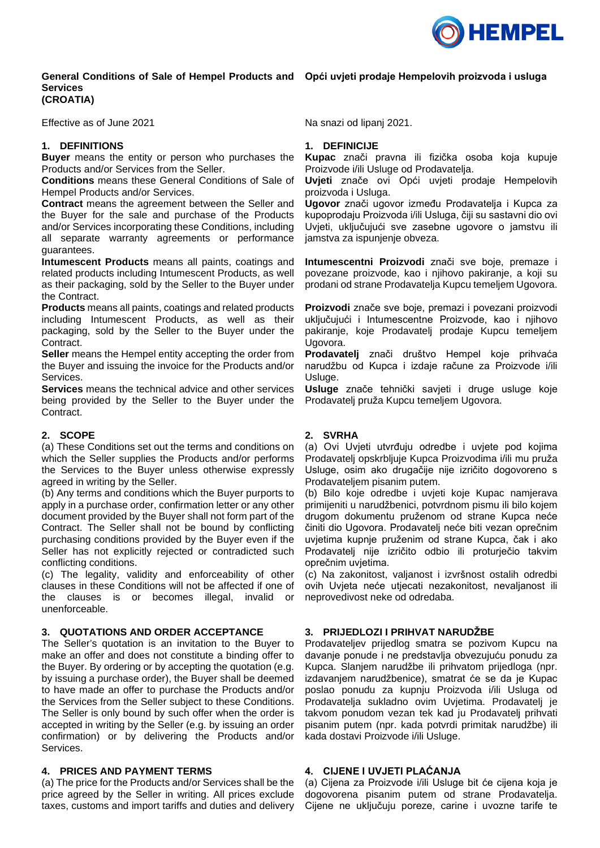

#### **General Conditions of Sale of Hempel Products and Opći uvjeti prodaje Hempelovih proizvoda i usluga Services (CROATIA)**

Effective as of June 2021

## **1. DEFINITIONS**

**Buyer** means the entity or person who purchases the Products and/or Services from the Seller.

**Conditions** means these General Conditions of Sale of Hempel Products and/or Services.

**Contract** means the agreement between the Seller and the Buyer for the sale and purchase of the Products and/or Services incorporating these Conditions, including all separate warranty agreements or performance guarantees.

**Intumescent Products** means all paints, coatings and related products including Intumescent Products, as well as their packaging, sold by the Seller to the Buyer under the Contract.

**Products** means all paints, coatings and related products including Intumescent Products, as well as their packaging, sold by the Seller to the Buyer under the Contract.

**Seller** means the Hempel entity accepting the order from the Buyer and issuing the invoice for the Products and/or Services.

**Services** means the technical advice and other services being provided by the Seller to the Buyer under the Contract.

# **2. SCOPE**

(a) These Conditions set out the terms and conditions on which the Seller supplies the Products and/or performs the Services to the Buyer unless otherwise expressly agreed in writing by the Seller.

(b) Any terms and conditions which the Buyer purports to apply in a purchase order, confirmation letter or any other document provided by the Buyer shall not form part of the Contract. The Seller shall not be bound by conflicting purchasing conditions provided by the Buyer even if the Seller has not explicitly rejected or contradicted such conflicting conditions.

(c) The legality, validity and enforceability of other clauses in these Conditions will not be affected if one of the clauses is or becomes illegal, invalid or unenforceable.

# **3. QUOTATIONS AND ORDER ACCEPTANCE**

The Seller's quotation is an invitation to the Buyer to make an offer and does not constitute a binding offer to the Buyer. By ordering or by accepting the quotation (e.g. by issuing a purchase order), the Buyer shall be deemed to have made an offer to purchase the Products and/or the Services from the Seller subject to these Conditions. The Seller is only bound by such offer when the order is accepted in writing by the Seller (e.g. by issuing an order confirmation) or by delivering the Products and/or Services.

### **4. PRICES AND PAYMENT TERMS**

(a) The price for the Products and/or Services shall be the price agreed by the Seller in writing. All prices exclude taxes, customs and import tariffs and duties and delivery

Na snazi od lipanj 2021.

## **1. DEFINICIJE**

**Kupac** znači pravna ili fizička osoba koja kupuje Proizvode i/ili Usluge od Prodavatelja.

**Uvjeti** znače ovi Opći uvjeti prodaje Hempelovih proizvoda i Usluga.

**Ugovor** znači ugovor između Prodavatelja i Kupca za kupoprodaju Proizvoda i/ili Usluga, čiji su sastavni dio ovi Uvjeti, uključujući sve zasebne ugovore o jamstvu ili jamstva za ispunjenje obveza.

**Intumescentni Proizvodi** znači sve boje, premaze i povezane proizvode, kao i njihovo pakiranje, a koji su prodani od strane Prodavatelja Kupcu temeljem Ugovora.

**Proizvodi** znače sve boje, premazi i povezani proizvodi uključujući i Intumescentne Proizvode, kao i njihovo pakiranje, koje Prodavatelj prodaje Kupcu temeljem Ugovora.

**Prodavatelj** znači društvo Hempel koje prihvaća narudžbu od Kupca i izdaje račune za Proizvode i/ili Usluge.

**Usluge** znače tehnički savjeti i druge usluge koje Prodavatelj pruža Kupcu temeljem Ugovora.

# **2. SVRHA**

(a) Ovi Uvjeti utvrđuju odredbe i uvjete pod kojima Prodavatelj opskrbljuje Kupca Proizvodima i/ili mu pruža Usluge, osim ako drugačije nije izričito dogovoreno s Prodavateljem pisanim putem.

(b) Bilo koje odredbe i uvjeti koje Kupac namjerava primijeniti u narudžbenici, potvrdnom pismu ili bilo kojem drugom dokumentu pruženom od strane Kupca neće činiti dio Ugovora. Prodavatelj neće biti vezan oprečnim uvjetima kupnje pruženim od strane Kupca, čak i ako Prodavatelj nije izričito odbio ili proturječio takvim oprečnim uvjetima.

(c) Na zakonitost, valjanost i izvršnost ostalih odredbi ovih Uvjeta neće utjecati nezakonitost, nevaljanost ili neprovedivost neke od odredaba.

# **3. PRIJEDLOZI I PRIHVAT NARUDŽBE**

Prodavateljev prijedlog smatra se pozivom Kupcu na davanje ponude i ne predstavlja obvezujuću ponudu za Kupca. Slanjem narudžbe ili prihvatom prijedloga (npr. izdavanjem narudžbenice), smatrat će se da je Kupac poslao ponudu za kupnju Proizvoda i/ili Usluga od Prodavatelja sukladno ovim Uvjetima. Prodavatelj je takvom ponudom vezan tek kad ju Prodavatelj prihvati pisanim putem (npr. kada potvrdi primitak narudžbe) ili kada dostavi Proizvode i/ili Usluge.

### **4. CIJENE I UVJETI PLAĆANJA**

(a) Cijena za Proizvode i/ili Usluge bit će cijena koja je dogovorena pisanim putem od strane Prodavatelja. Cijene ne uključuju poreze, carine i uvozne tarife te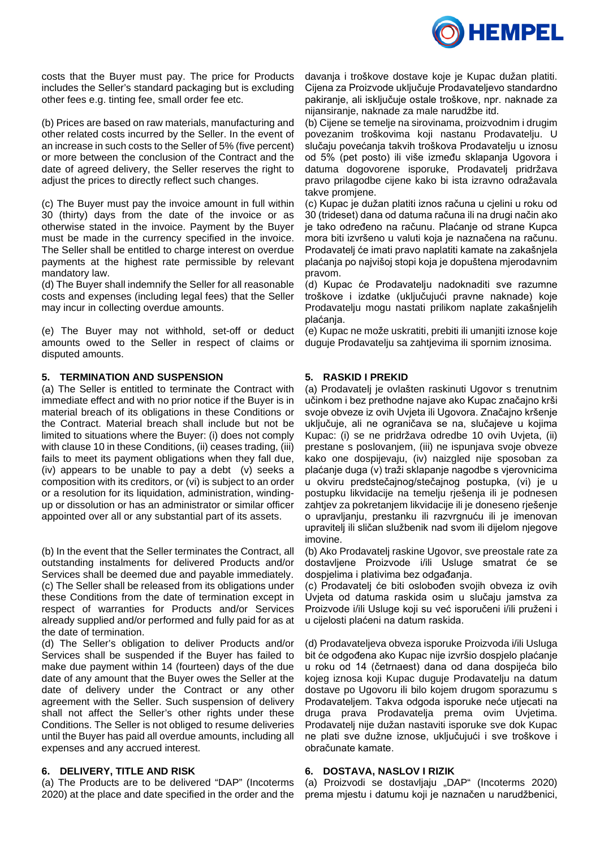

costs that the Buyer must pay. The price for Products includes the Seller's standard packaging but is excluding other fees e.g. tinting fee, small order fee etc.

(b) Prices are based on raw materials, manufacturing and other related costs incurred by the Seller. In the event of an increase in such costs to the Seller of 5% (five percent) or more between the conclusion of the Contract and the date of agreed delivery, the Seller reserves the right to adjust the prices to directly reflect such changes.

(c) The Buyer must pay the invoice amount in full within 30 (thirty) days from the date of the invoice or as otherwise stated in the invoice. Payment by the Buyer must be made in the currency specified in the invoice. The Seller shall be entitled to charge interest on overdue payments at the highest rate permissible by relevant mandatory law.

(d) The Buyer shall indemnify the Seller for all reasonable costs and expenses (including legal fees) that the Seller may incur in collecting overdue amounts.

(e) The Buyer may not withhold, set-off or deduct amounts owed to the Seller in respect of claims or disputed amounts.

## **5. TERMINATION AND SUSPENSION**

(a) The Seller is entitled to terminate the Contract with immediate effect and with no prior notice if the Buyer is in material breach of its obligations in these Conditions or the Contract. Material breach shall include but not be limited to situations where the Buyer: (i) does not comply with clause 10 in these Conditions, (ii) ceases trading, (iii) fails to meet its payment obligations when they fall due, (iv) appears to be unable to pay a debt (v) seeks a composition with its creditors, or (vi) is subject to an order or a resolution for its liquidation, administration, windingup or dissolution or has an administrator or similar officer appointed over all or any substantial part of its assets.

(b) In the event that the Seller terminates the Contract, all outstanding instalments for delivered Products and/or Services shall be deemed due and payable immediately. (c) The Seller shall be released from its obligations under these Conditions from the date of termination except in respect of warranties for Products and/or Services already supplied and/or performed and fully paid for as at the date of termination.

(d) The Seller's obligation to deliver Products and/or Services shall be suspended if the Buyer has failed to make due payment within 14 (fourteen) days of the due date of any amount that the Buyer owes the Seller at the date of delivery under the Contract or any other agreement with the Seller. Such suspension of delivery shall not affect the Seller's other rights under these Conditions. The Seller is not obliged to resume deliveries until the Buyer has paid all overdue amounts, including all expenses and any accrued interest.

### **6. DELIVERY, TITLE AND RISK**

(a) The Products are to be delivered "DAP" (Incoterms 2020) at the place and date specified in the order and the davanja i troškove dostave koje je Kupac dužan platiti. Cijena za Proizvode uključuje Prodavateljevo standardno pakiranje, ali isključuje ostale troškove, npr. naknade za nijansiranje, naknade za male narudžbe itd.

(b) Cijene se temelje na sirovinama, proizvodnim i drugim povezanim troškovima koji nastanu Prodavatelju. U slučaju povećanja takvih troškova Prodavatelju u iznosu od 5% (pet posto) ili više između sklapanja Ugovora i datuma dogovorene isporuke, Prodavatelj pridržava pravo prilagodbe cijene kako bi ista izravno odražavala takve promjene.

(c) Kupac je dužan platiti iznos računa u cjelini u roku od 30 (trideset) dana od datuma računa ili na drugi način ako je tako određeno na računu. Plaćanje od strane Kupca mora biti izvršeno u valuti koja je naznačena na računu. Prodavatelj će imati pravo naplatiti kamate na zakašnjela plaćanja po najvišoj stopi koja je dopuštena mjerodavnim pravom.

(d) Kupac će Prodavatelju nadoknaditi sve razumne troškove i izdatke (uključujući pravne naknade) koje Prodavatelju mogu nastati prilikom naplate zakašnjelih plaćanja.

(e) Kupac ne može uskratiti, prebiti ili umanjiti iznose koje duguje Prodavatelju sa zahtjevima ili spornim iznosima.

# **5. RASKID I PREKID**

(a) Prodavatelj je ovlašten raskinuti Ugovor s trenutnim učinkom i bez prethodne najave ako Kupac značajno krši svoje obveze iz ovih Uvjeta ili Ugovora. Značajno kršenje uključuje, ali ne ograničava se na, slučajeve u kojima Kupac: (i) se ne pridržava odredbe 10 ovih Uvjeta, (ii) prestane s poslovanjem, (iii) ne ispunjava svoje obveze kako one dospijevaju, (iv) naizgled nije sposoban za plaćanje duga (v) traži sklapanje nagodbe s vjerovnicima u okviru predstečajnog/stečajnog postupka, (vi) je u postupku likvidacije na temelju rješenja ili je podnesen zahtjev za pokretanjem likvidacije ili je doneseno rješenje o upravljanju, prestanku ili razvrgnuću ili je imenovan upravitelj ili sličan službenik nad svom ili dijelom njegove imovine.

(b) Ako Prodavatelj raskine Ugovor, sve preostale rate za dostavljene Proizvode i/ili Usluge smatrat će se dospjelima i plativima bez odgađanja.

(c) Prodavatelj će biti oslobođen svojih obveza iz ovih Uvjeta od datuma raskida osim u slučaju jamstva za Proizvode i/ili Usluge koji su već isporučeni i/ili pruženi i u cijelosti plaćeni na datum raskida.

(d) Prodavateljeva obveza isporuke Proizvoda i/ili Usluga bit će odgođena ako Kupac nije izvršio dospjelo plaćanje u roku od 14 (četrnaest) dana od dana dospijeća bilo kojeg iznosa koji Kupac duguje Prodavatelju na datum dostave po Ugovoru ili bilo kojem drugom sporazumu s Prodavateljem. Takva odgoda isporuke neće utjecati na druga prava Prodavatelja prema ovim Uvjetima. Prodavatelj nije dužan nastaviti isporuke sve dok Kupac ne plati sve dužne iznose, uključujući i sve troškove i obračunate kamate.

### **6. DOSTAVA, NASLOV I RIZIK**

(a) Proizvodi se dostavljaju "DAP" (Incoterms 2020) prema mjestu i datumu koji je naznačen u narudžbenici,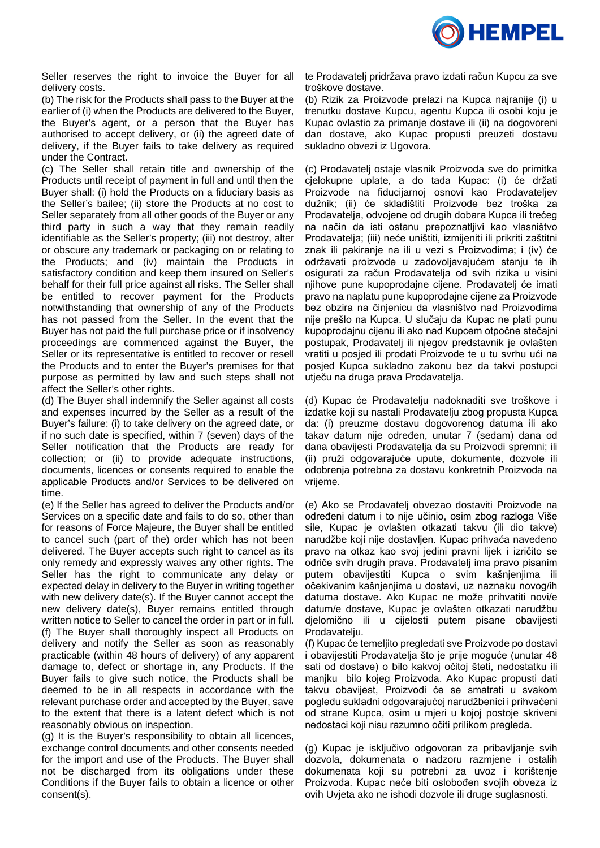

Seller reserves the right to invoice the Buyer for all delivery costs.

(b) The risk for the Products shall pass to the Buyer at the earlier of (i) when the Products are delivered to the Buyer, the Buyer's agent, or a person that the Buyer has authorised to accept delivery, or (ii) the agreed date of delivery, if the Buyer fails to take delivery as required under the Contract.

(c) The Seller shall retain title and ownership of the Products until receipt of payment in full and until then the Buyer shall: (i) hold the Products on a fiduciary basis as the Seller's bailee; (ii) store the Products at no cost to Seller separately from all other goods of the Buyer or any third party in such a way that they remain readily identifiable as the Seller's property; (iii) not destroy, alter or obscure any trademark or packaging on or relating to the Products; and (iv) maintain the Products in satisfactory condition and keep them insured on Seller's behalf for their full price against all risks. The Seller shall be entitled to recover payment for the Products notwithstanding that ownership of any of the Products has not passed from the Seller. In the event that the Buyer has not paid the full purchase price or if insolvency proceedings are commenced against the Buyer, the Seller or its representative is entitled to recover or resell the Products and to enter the Buyer's premises for that purpose as permitted by law and such steps shall not affect the Seller's other rights.

(d) The Buyer shall indemnify the Seller against all costs and expenses incurred by the Seller as a result of the Buyer's failure: (i) to take delivery on the agreed date, or if no such date is specified, within 7 (seven) days of the Seller notification that the Products are ready for collection; or (ii) to provide adequate instructions, documents, licences or consents required to enable the applicable Products and/or Services to be delivered on time.

(e) If the Seller has agreed to deliver the Products and/or Services on a specific date and fails to do so, other than for reasons of Force Majeure, the Buyer shall be entitled to cancel such (part of the) order which has not been delivered. The Buyer accepts such right to cancel as its only remedy and expressly waives any other rights. The Seller has the right to communicate any delay or expected delay in delivery to the Buyer in writing together with new delivery date(s). If the Buyer cannot accept the new delivery date(s), Buyer remains entitled through written notice to Seller to cancel the order in part or in full. (f) The Buyer shall thoroughly inspect all Products on delivery and notify the Seller as soon as reasonably practicable (within 48 hours of delivery) of any apparent damage to, defect or shortage in, any Products. If the Buyer fails to give such notice, the Products shall be deemed to be in all respects in accordance with the relevant purchase order and accepted by the Buyer, save to the extent that there is a latent defect which is not reasonably obvious on inspection.

(g) It is the Buyer's responsibility to obtain all licences, exchange control documents and other consents needed for the import and use of the Products. The Buyer shall not be discharged from its obligations under these Conditions if the Buyer fails to obtain a licence or other consent(s).

te Prodavatelj pridržava pravo izdati račun Kupcu za sve troškove dostave.

(b) Rizik za Proizvode prelazi na Kupca najranije (i) u trenutku dostave Kupcu, agentu Kupca ili osobi koju je Kupac ovlastio za primanje dostave ili (ii) na dogovoreni dan dostave, ako Kupac propusti preuzeti dostavu sukladno obvezi iz Ugovora.

(c) Prodavatelj ostaje vlasnik Proizvoda sve do primitka cjelokupne uplate, a do tada Kupac: (i) će držati Proizvode na fiducijarnoj osnovi kao Prodavateljev dužnik; (ii) će skladištiti Proizvode bez troška za Prodavatelja, odvojene od drugih dobara Kupca ili trećeg na način da isti ostanu prepoznatljivi kao vlasništvo Prodavatelja; (iii) neće uništiti, izmijeniti ili prikriti zaštitni znak ili pakiranje na ili u vezi s Proizvodima; i (iv) će održavati proizvode u zadovoljavajućem stanju te ih osigurati za račun Prodavatelja od svih rizika u visini njihove pune kupoprodajne cijene. Prodavatelj će imati pravo na naplatu pune kupoprodajne cijene za Proizvode bez obzira na činjenicu da vlasništvo nad Proizvodima nije prešlo na Kupca. U slučaju da Kupac ne plati punu kupoprodajnu cijenu ili ako nad Kupcem otpočne stečajni postupak, Prodavatelj ili njegov predstavnik je ovlašten vratiti u posjed ili prodati Proizvode te u tu svrhu ući na posjed Kupca sukladno zakonu bez da takvi postupci utječu na druga prava Prodavatelja.

(d) Kupac će Prodavatelju nadoknaditi sve troškove i izdatke koji su nastali Prodavatelju zbog propusta Kupca da: (i) preuzme dostavu dogovorenog datuma ili ako takav datum nije određen, unutar 7 (sedam) dana od dana obavijesti Prodavatelja da su Proizvodi spremni; ili (ii) pruži odgovarajuće upute, dokumente, dozvole ili odobrenja potrebna za dostavu konkretnih Proizvoda na vrijeme.

(e) Ako se Prodavatelj obvezao dostaviti Proizvode na određeni datum i to nije učinio, osim zbog razloga Više sile, Kupac je ovlašten otkazati takvu (ili dio takve) narudžbe koji nije dostavljen. Kupac prihvaća navedeno pravo na otkaz kao svoj jedini pravni lijek i izričito se odriče svih drugih prava. Prodavatelj ima pravo pisanim putem obavijestiti Kupca o svim kašnjenjima ili očekivanim kašnjenjima u dostavi, uz naznaku novog/ih datuma dostave. Ako Kupac ne može prihvatiti novi/e datum/e dostave, Kupac je ovlašten otkazati narudžbu djelomično ili u cijelosti putem pisane obavijesti Prodavatelju.

(f) Kupac će temeljito pregledati sve Proizvode po dostavi i obavijestiti Prodavatelja što je prije moguće (unutar 48 sati od dostave) o bilo kakvoj očitoj šteti, nedostatku ili manjku bilo kojeg Proizvoda. Ako Kupac propusti dati takvu obavijest, Proizvodi će se smatrati u svakom pogledu sukladni odgovarajućoj narudžbenici i prihvaćeni od strane Kupca, osim u mjeri u kojoj postoje skriveni nedostaci koji nisu razumno očiti prilikom pregleda.

(g) Kupac je isključivo odgovoran za pribavljanje svih dozvola, dokumenata o nadzoru razmjene i ostalih dokumenata koji su potrebni za uvoz i korištenje Proizvoda. Kupac neće biti oslobođen svojih obveza iz ovih Uvjeta ako ne ishodi dozvole ili druge suglasnosti.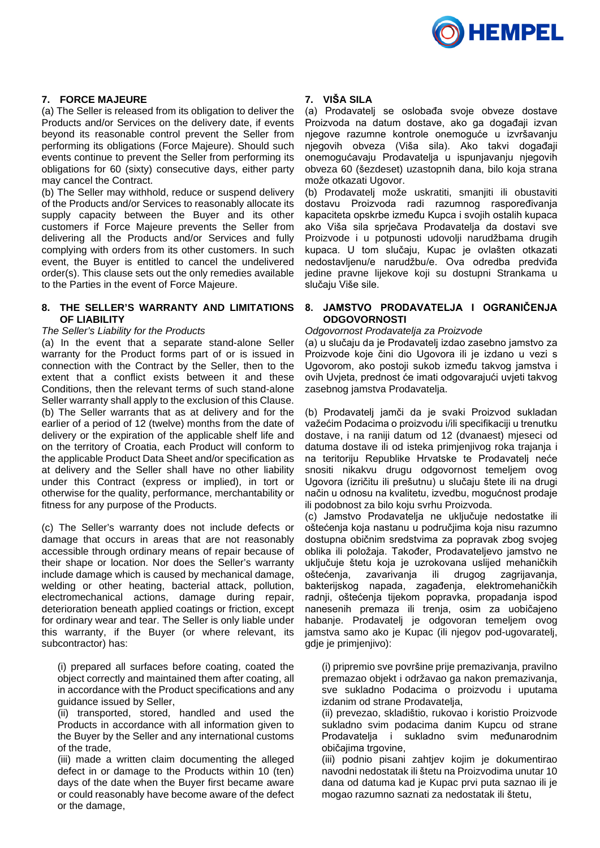

# **7. FORCE MAJEURE**

(a) The Seller is released from its obligation to deliver the Products and/or Services on the delivery date, if events beyond its reasonable control prevent the Seller from performing its obligations (Force Majeure). Should such events continue to prevent the Seller from performing its obligations for 60 (sixty) consecutive days, either party may cancel the Contract.

(b) The Seller may withhold, reduce or suspend delivery of the Products and/or Services to reasonably allocate its supply capacity between the Buyer and its other customers if Force Majeure prevents the Seller from delivering all the Products and/or Services and fully complying with orders from its other customers. In such event, the Buyer is entitled to cancel the undelivered order(s). This clause sets out the only remedies available to the Parties in the event of Force Majeure.

### **8. THE SELLER'S WARRANTY AND LIMITATIONS OF LIABILITY**

#### *The Seller's Liability for the Products*

(a) In the event that a separate stand-alone Seller warranty for the Product forms part of or is issued in connection with the Contract by the Seller, then to the extent that a conflict exists between it and these Conditions, then the relevant terms of such stand-alone Seller warranty shall apply to the exclusion of this Clause. (b) The Seller warrants that as at delivery and for the earlier of a period of 12 (twelve) months from the date of delivery or the expiration of the applicable shelf life and on the territory of Croatia, each Product will conform to the applicable Product Data Sheet and/or specification as at delivery and the Seller shall have no other liability under this Contract (express or implied), in tort or otherwise for the quality, performance, merchantability or fitness for any purpose of the Products.

(c) The Seller's warranty does not include defects or damage that occurs in areas that are not reasonably accessible through ordinary means of repair because of their shape or location. Nor does the Seller's warranty include damage which is caused by mechanical damage, welding or other heating, bacterial attack, pollution, electromechanical actions, damage during repair, deterioration beneath applied coatings or friction, except for ordinary wear and tear. The Seller is only liable under this warranty, if the Buyer (or where relevant, its subcontractor) has:

(i) prepared all surfaces before coating, coated the object correctly and maintained them after coating, all in accordance with the Product specifications and any guidance issued by Seller,

(ii) transported, stored, handled and used the Products in accordance with all information given to the Buyer by the Seller and any international customs of the trade,

(iii) made a written claim documenting the alleged defect in or damage to the Products within 10 (ten) days of the date when the Buyer first became aware or could reasonably have become aware of the defect or the damage,

## **7. VIŠA SILA**

(a) Prodavatelj se oslobađa svoje obveze dostave Proizvoda na datum dostave, ako ga događaji izvan njegove razumne kontrole onemoguće u izvršavanju njegovih obveza (Viša sila). Ako takvi događaji onemogućavaju Prodavatelja u ispunjavanju njegovih obveza 60 (šezdeset) uzastopnih dana, bilo koja strana može otkazati Ugovor.

(b) Prodavatelj može uskratiti, smanjiti ili obustaviti dostavu Proizvoda radi razumnog raspoređivanja kapaciteta opskrbe između Kupca i svojih ostalih kupaca ako Viša sila sprječava Prodavatelja da dostavi sve Proizvode i u potpunosti udovolji narudžbama drugih kupaca. U tom slučaju, Kupac je ovlašten otkazati nedostavljenu/e narudžbu/e. Ova odredba predviđa jedine pravne lijekove koji su dostupni Strankama u slučaju Više sile.

## **8. JAMSTVO PRODAVATELJA I OGRANIČENJA ODGOVORNOSTI**

#### *Odgovornost Prodavatelja za Proizvode*

(a) u slučaju da je Prodavatelj izdao zasebno jamstvo za Proizvode koje čini dio Ugovora ili je izdano u vezi s Ugovorom, ako postoji sukob između takvog jamstva i ovih Uvjeta, prednost će imati odgovarajući uvjeti takvog zasebnog jamstva Prodavatelja.

(b) Prodavatelj jamči da je svaki Proizvod sukladan važećim Podacima o proizvodu i/ili specifikaciji u trenutku dostave, i na raniji datum od 12 (dvanaest) mjeseci od datuma dostave ili od isteka primjenjivog roka trajanja i na teritoriju Republike Hrvatske te Prodavatelj neće snositi nikakvu drugu odgovornost temeljem ovog Ugovora (izričitu ili prešutnu) u slučaju štete ili na drugi način u odnosu na kvalitetu, izvedbu, mogućnost prodaje ili podobnost za bilo koju svrhu Proizvoda.

(c) Jamstvo Prodavatelja ne uključuje nedostatke ili oštećenja koja nastanu u područjima koja nisu razumno dostupna običnim sredstvima za popravak zbog svojeg oblika ili položaja. Također, Prodavateljevo jamstvo ne uključuje štetu koja je uzrokovana uslijed mehaničkih oštećenja, zavarivanja ili drugog zagrijavanja, bakterijskog napada, zagađenja, elektromehaničkih radnji, oštećenja tijekom popravka, propadanja ispod nanesenih premaza ili trenja, osim za uobičajeno habanje. Prodavatelj je odgovoran temeljem ovog jamstva samo ako je Kupac (ili njegov pod-ugovaratelj, gdje je primjenjivo):

(i) pripremio sve površine prije premazivanja, pravilno premazao objekt i održavao ga nakon premazivanja, sve sukladno Podacima o proizvodu i uputama izdanim od strane Prodavatelja,

(ii) prevezao, skladištio, rukovao i koristio Proizvode sukladno svim podacima danim Kupcu od strane Prodavatelja i sukladno svim međunarodnim običajima trgovine,

(iii) podnio pisani zahtjev kojim je dokumentirao navodni nedostatak ili štetu na Proizvodima unutar 10 dana od datuma kad je Kupac prvi puta saznao ili je mogao razumno saznati za nedostatak ili štetu,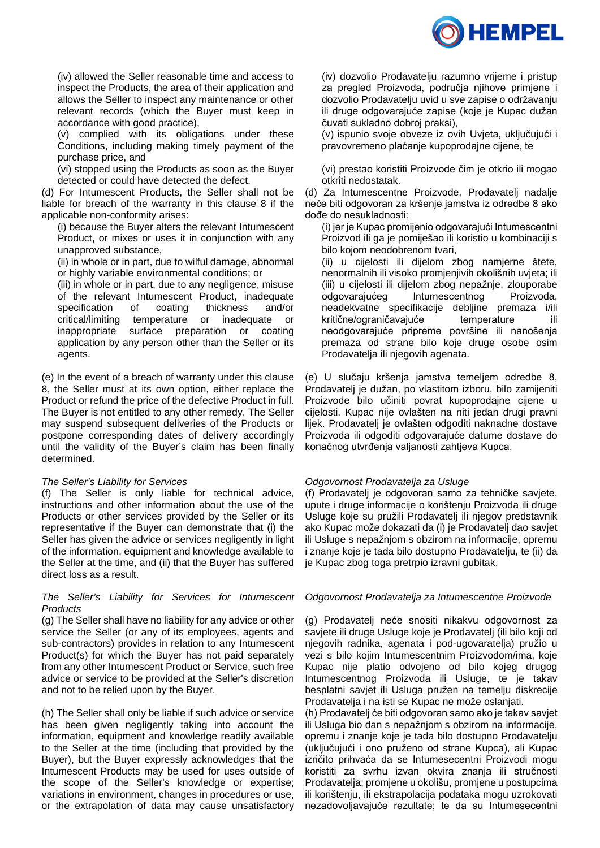

(iv) allowed the Seller reasonable time and access to inspect the Products, the area of their application and allows the Seller to inspect any maintenance or other relevant records (which the Buyer must keep in accordance with good practice),

(v) complied with its obligations under these Conditions, including making timely payment of the purchase price, and

(vi) stopped using the Products as soon as the Buyer detected or could have detected the defect.

(d) For Intumescent Products, the Seller shall not be liable for breach of the warranty in this clause 8 if the applicable non-conformity arises:

(i) because the Buyer alters the relevant Intumescent Product, or mixes or uses it in conjunction with any unapproved substance,

(ii) in whole or in part, due to wilful damage, abnormal or highly variable environmental conditions; or

(iii) in whole or in part, due to any negligence, misuse of the relevant Intumescent Product, inadequate specification of coating thickness and/or critical/limiting temperature or inadequate or inappropriate surface preparation or coating application by any person other than the Seller or its agents.

(e) In the event of a breach of warranty under this clause 8, the Seller must at its own option, either replace the Product or refund the price of the defective Product in full. The Buyer is not entitled to any other remedy. The Seller may suspend subsequent deliveries of the Products or postpone corresponding dates of delivery accordingly until the validity of the Buyer's claim has been finally determined.

### *The Seller's Liability for Services*

(f) The Seller is only liable for technical advice, instructions and other information about the use of the Products or other services provided by the Seller or its representative if the Buyer can demonstrate that (i) the Seller has given the advice or services negligently in light of the information, equipment and knowledge available to the Seller at the time, and (ii) that the Buyer has suffered direct loss as a result.

### *The Seller's Liability for Services for Intumescent Products*

(g) The Seller shall have no liability for any advice or other service the Seller (or any of its employees, agents and sub-contractors) provides in relation to any Intumescent Product(s) for which the Buyer has not paid separately from any other Intumescent Product or Service, such free advice or service to be provided at the Seller's discretion and not to be relied upon by the Buyer.

(h) The Seller shall only be liable if such advice or service has been given negligently taking into account the information, equipment and knowledge readily available to the Seller at the time (including that provided by the Buyer), but the Buyer expressly acknowledges that the Intumescent Products may be used for uses outside of the scope of the Seller's knowledge or expertise; variations in environment, changes in procedures or use, or the extrapolation of data may cause unsatisfactory

(iv) dozvolio Prodavatelju razumno vrijeme i pristup za pregled Proizvoda, područja njihove primjene i dozvolio Prodavatelju uvid u sve zapise o održavanju ili druge odgovarajuće zapise (koje je Kupac dužan čuvati sukladno dobroj praksi),

(v) ispunio svoje obveze iz ovih Uvjeta, uključujući i pravovremeno plaćanje kupoprodajne cijene, te

(vi) prestao koristiti Proizvode čim je otkrio ili mogao otkriti nedostatak.

(d) Za Intumescentne Proizvode, Prodavatelj nadalje neće biti odgovoran za kršenje jamstva iz odredbe 8 ako dođe do nesukladnosti:

(i) jer je Kupac promijenio odgovarajući Intumescentni Proizvod ili ga je pomiješao ili koristio u kombinaciji s bilo kojom neodobrenom tvari,

(ii) u cijelosti ili dijelom zbog namjerne štete, nenormalnih ili visoko promjenjivih okolišnih uvjeta; ili (iii) u cijelosti ili dijelom zbog nepažnje, zlouporabe odgovarajućeg Intumescentnog Proizvoda, neadekvatne specifikacije debljine premaza i/ili kritične/ograničavajuće temperature ili neodgovarajuće pripreme površine ili nanošenja premaza od strane bilo koje druge osobe osim Prodavatelja ili njegovih agenata.

(e) U slučaju kršenja jamstva temeljem odredbe 8, Prodavatelj je dužan, po vlastitom izboru, bilo zamijeniti Proizvode bilo učiniti povrat kupoprodajne cijene u cijelosti. Kupac nije ovlašten na niti jedan drugi pravni lijek. Prodavatelj je ovlašten odgoditi naknadne dostave Proizvoda ili odgoditi odgovarajuće datume dostave do konačnog utvrđenja valjanosti zahtjeva Kupca.

### *Odgovornost Prodavatelja za Usluge*

(f) Prodavatelj je odgovoran samo za tehničke savjete, upute i druge informacije o korištenju Proizvoda ili druge Usluge koje su pružili Prodavatelj ili njegov predstavnik ako Kupac može dokazati da (i) je Prodavatelj dao savjet ili Usluge s nepažnjom s obzirom na informacije, opremu i znanje koje je tada bilo dostupno Prodavatelju, te (ii) da je Kupac zbog toga pretrpio izravni gubitak.

### *Odgovornost Prodavatelja za Intumescentne Proizvode*

(g) Prodavatelj neće snositi nikakvu odgovornost za savjete ili druge Usluge koje je Prodavatelj (ili bilo koji od njegovih radnika, agenata i pod-ugovaratelja) pružio u vezi s bilo kojim Intumescentnim Proizvodom/ima, koje Kupac nije platio odvojeno od bilo kojeg drugog Intumescentnog Proizvoda ili Usluge, te je takav besplatni savjet ili Usluga pružen na temelju diskrecije Prodavatelja i na isti se Kupac ne može oslanjati.

(h) Prodavatelj će biti odgovoran samo ako je takav savjet ili Usluga bio dan s nepažnjom s obzirom na informacije, opremu i znanje koje je tada bilo dostupno Prodavatelju (uključujući i ono pruženo od strane Kupca), ali Kupac izričito prihvaća da se Intumesecentni Proizvodi mogu koristiti za svrhu izvan okvira znanja ili stručnosti Prodavatelja; promjene u okolišu, promjene u postupcima ili korištenju, ili ekstrapolacija podataka mogu uzrokovati nezadovoljavajuće rezultate; te da su Intumesecentni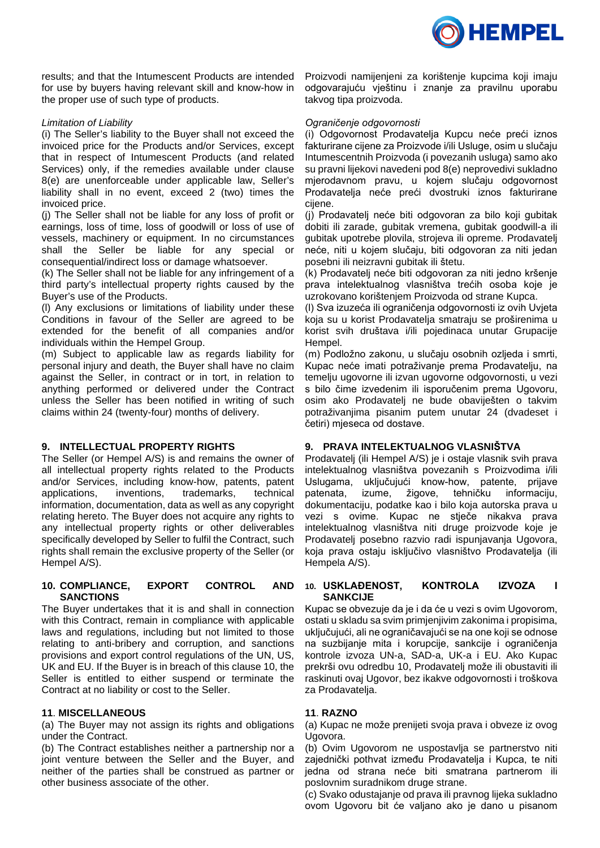

results; and that the Intumescent Products are intended for use by buyers having relevant skill and know-how in the proper use of such type of products.

### *Limitation of Liability*

(i) The Seller's liability to the Buyer shall not exceed the invoiced price for the Products and/or Services, except that in respect of Intumescent Products (and related Services) only, if the remedies available under clause 8(e) are unenforceable under applicable law, Seller's liability shall in no event, exceed 2 (two) times the invoiced price.

(j) The Seller shall not be liable for any loss of profit or earnings, loss of time, loss of goodwill or loss of use of vessels, machinery or equipment. In no circumstances shall the Seller be liable for any special or consequential/indirect loss or damage whatsoever.

(k) The Seller shall not be liable for any infringement of a third party's intellectual property rights caused by the Buyer's use of the Products.

(l) Any exclusions or limitations of liability under these Conditions in favour of the Seller are agreed to be extended for the benefit of all companies and/or individuals within the Hempel Group.

(m) Subject to applicable law as regards liability for personal injury and death, the Buyer shall have no claim against the Seller, in contract or in tort, in relation to anything performed or delivered under the Contract unless the Seller has been notified in writing of such claims within 24 (twenty-four) months of delivery.

### **9. INTELLECTUAL PROPERTY RIGHTS**

The Seller (or Hempel A/S) is and remains the owner of all intellectual property rights related to the Products and/or Services, including know-how, patents, patent applications, inventions, trademarks, technical information, documentation, data as well as any copyright relating hereto. The Buyer does not acquire any rights to any intellectual property rights or other deliverables specifically developed by Seller to fulfil the Contract, such rights shall remain the exclusive property of the Seller (or Hempel A/S).

#### **10. COMPLIANCE, EXPORT CONTROL AND SANCTIONS**

The Buyer undertakes that it is and shall in connection with this Contract, remain in compliance with applicable laws and regulations, including but not limited to those relating to anti-bribery and corruption, and sanctions provisions and export control regulations of the UN, US, UK and EU. If the Buyer is in breach of this clause 10, the Seller is entitled to either suspend or terminate the Contract at no liability or cost to the Seller.

### **11**. **MISCELLANEOUS**

(a) The Buyer may not assign its rights and obligations under the Contract.

(b) The Contract establishes neither a partnership nor a joint venture between the Seller and the Buyer, and neither of the parties shall be construed as partner or other business associate of the other.

Proizvodi namijenjeni za korištenje kupcima koji imaju odgovarajuću vještinu i znanje za pravilnu uporabu takvog tipa proizvoda.

## *Ograničenje odgovornosti*

(i) Odgovornost Prodavatelja Kupcu neće preći iznos fakturirane cijene za Proizvode i/ili Usluge, osim u slučaju Intumescentnih Proizvoda (i povezanih usluga) samo ako su pravni lijekovi navedeni pod 8(e) neprovedivi sukladno mjerodavnom pravu, u kojem slučaju odgovornost Prodavatelja neće preći dvostruki iznos fakturirane cijene.

(j) Prodavatelj neće biti odgovoran za bilo koji gubitak dobiti ili zarade, gubitak vremena, gubitak goodwill-a ili gubitak upotrebe plovila, strojeva ili opreme. Prodavatelj neće, niti u kojem slučaju, biti odgovoran za niti jedan posebni ili neizravni gubitak ili štetu.

(k) Prodavatelj neće biti odgovoran za niti jedno kršenje prava intelektualnog vlasništva trećih osoba koje je uzrokovano korištenjem Proizvoda od strane Kupca.

(l) Sva izuzeća ili ograničenja odgovornosti iz ovih Uvjeta koja su u korist Prodavatelja smatraju se proširenima u korist svih društava i/ili pojedinaca unutar Grupacije Hempel.

(m) Podložno zakonu, u slučaju osobnih ozljeda i smrti, Kupac neće imati potraživanje prema Prodavatelju, na temelju ugovorne ili izvan ugovorne odgovornosti, u vezi s bilo čime izvedenim ili isporučenim prema Ugovoru, osim ako Prodavatelj ne bude obaviješten o takvim potraživanjima pisanim putem unutar 24 (dvadeset i četiri) mjeseca od dostave.

### **9. PRAVA INTELEKTUALNOG VLASNIŠTVA**

Prodavatelj (ili Hempel A/S) je i ostaje vlasnik svih prava intelektualnog vlasništva povezanih s Proizvodima i/ili Uslugama, uključujući know-how, patente, prijave patenata, izume, žigove, tehničku informaciju, dokumentaciju, podatke kao i bilo koja autorska prava u vezi s ovime. Kupac ne stječe nikakva prava intelektualnog vlasništva niti druge proizvode koje je Prodavatelj posebno razvio radi ispunjavanja Ugovora, koja prava ostaju isključivo vlasništvo Prodavatelja (ili Hempela A/S).

### **10. USKLAĐENOST, KONTROLA IZVOZA I SANKCIJE**

Kupac se obvezuje da je i da će u vezi s ovim Ugovorom, ostati u skladu sa svim primjenjivim zakonima i propisima, uključujući, ali ne ograničavajući se na one koji se odnose na suzbijanje mita i korupcije, sankcije i ograničenja kontrole izvoza UN-a, SAD-a, UK-a i EU. Ako Kupac prekrši ovu odredbu 10, Prodavatelj može ili obustaviti ili raskinuti ovaj Ugovor, bez ikakve odgovornosti i troškova za Prodavatelia.

# **11**. **RAZNO**

(a) Kupac ne može prenijeti svoja prava i obveze iz ovog Ugovora.

(b) Ovim Ugovorom ne uspostavlja se partnerstvo niti zajednički pothvat između Prodavatelja i Kupca, te niti jedna od strana neće biti smatrana partnerom ili poslovnim suradnikom druge strane.

(c) Svako odustajanje od prava ili pravnog lijeka sukladno ovom Ugovoru bit će valjano ako je dano u pisanom